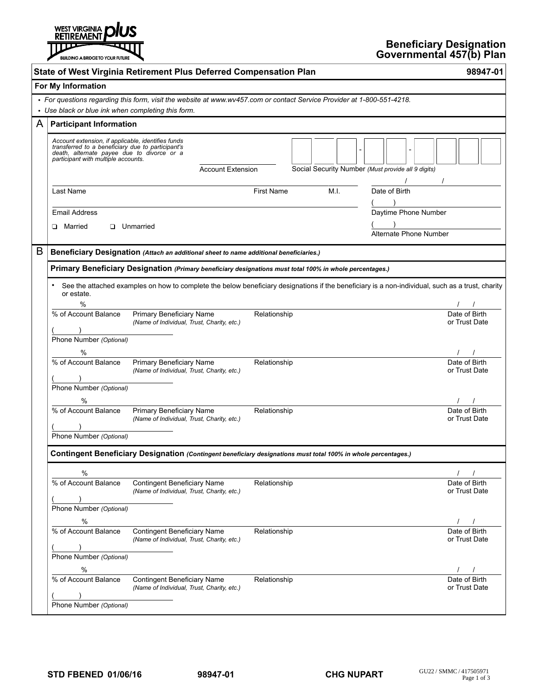

|   |                                                                                                                                                                                              | State of West Virginia Retirement Plus Deferred Compensation Plan                                                                                |                   |                                                    | 98947-01                       |  |  |
|---|----------------------------------------------------------------------------------------------------------------------------------------------------------------------------------------------|--------------------------------------------------------------------------------------------------------------------------------------------------|-------------------|----------------------------------------------------|--------------------------------|--|--|
|   | For My Information                                                                                                                                                                           |                                                                                                                                                  |                   |                                                    |                                |  |  |
|   |                                                                                                                                                                                              | · For questions regarding this form, visit the website at www.wv457.com or contact Service Provider at 1-800-551-4218.                           |                   |                                                    |                                |  |  |
|   | • Use black or blue ink when completing this form.                                                                                                                                           |                                                                                                                                                  |                   |                                                    |                                |  |  |
| A | <b>Participant Information</b>                                                                                                                                                               |                                                                                                                                                  |                   |                                                    |                                |  |  |
|   | Account extension, if applicable, identifies funds<br>transferred to a beneficiary due to participant's<br>death, alternate payee due to divorce or a<br>participant with multiple accounts. | <b>Account Extension</b>                                                                                                                         |                   | Social Security Number (Must provide all 9 digits) |                                |  |  |
|   | Last Name                                                                                                                                                                                    |                                                                                                                                                  | <b>First Name</b> | M.I.<br>Date of Birth                              |                                |  |  |
|   | <b>Email Address</b>                                                                                                                                                                         |                                                                                                                                                  |                   | Daytime Phone Number                               |                                |  |  |
|   | □ Married                                                                                                                                                                                    | <b>U</b> nmarried                                                                                                                                |                   |                                                    |                                |  |  |
|   |                                                                                                                                                                                              |                                                                                                                                                  |                   | Alternate Phone Number                             |                                |  |  |
| B | Beneficiary Designation (Attach an additional sheet to name additional beneficiaries.)                                                                                                       |                                                                                                                                                  |                   |                                                    |                                |  |  |
|   | Primary Beneficiary Designation (Primary beneficiary designations must total 100% in whole percentages.)                                                                                     |                                                                                                                                                  |                   |                                                    |                                |  |  |
|   | or estate.                                                                                                                                                                                   | See the attached examples on how to complete the below beneficiary designations if the beneficiary is a non-individual, such as a trust, charity |                   |                                                    |                                |  |  |
|   | %                                                                                                                                                                                            |                                                                                                                                                  |                   |                                                    |                                |  |  |
|   | % of Account Balance                                                                                                                                                                         | <b>Primary Beneficiary Name</b><br>(Name of Individual, Trust, Charity, etc.)                                                                    | Relationship      |                                                    | Date of Birth<br>or Trust Date |  |  |
|   | Phone Number (Optional)                                                                                                                                                                      |                                                                                                                                                  |                   |                                                    |                                |  |  |
|   | $\frac{0}{0}$                                                                                                                                                                                |                                                                                                                                                  |                   |                                                    |                                |  |  |
|   | % of Account Balance                                                                                                                                                                         | Primary Beneficiary Name<br>(Name of Individual, Trust, Charity, etc.)                                                                           | Relationship      |                                                    | Date of Birth<br>or Trust Date |  |  |
|   | Phone Number (Optional)<br>%                                                                                                                                                                 |                                                                                                                                                  |                   |                                                    |                                |  |  |
|   | % of Account Balance                                                                                                                                                                         | Primary Beneficiary Name<br>(Name of Individual, Trust, Charity, etc.)                                                                           | Relationship      |                                                    | Date of Birth<br>or Trust Date |  |  |
|   | Phone Number (Optional)                                                                                                                                                                      |                                                                                                                                                  |                   |                                                    |                                |  |  |
|   | Contingent Beneficiary Designation (Contingent beneficiary designations must total 100% in whole percentages.)                                                                               |                                                                                                                                                  |                   |                                                    |                                |  |  |
|   | $\%$                                                                                                                                                                                         |                                                                                                                                                  |                   |                                                    |                                |  |  |
|   | % of Account Balance                                                                                                                                                                         | <b>Contingent Beneficiary Name</b><br>(Name of Individual, Trust, Charity, etc.)                                                                 | Relationship      |                                                    | Date of Birth<br>or Trust Date |  |  |
|   | Phone Number (Optional)                                                                                                                                                                      |                                                                                                                                                  |                   |                                                    |                                |  |  |
|   | $\%$                                                                                                                                                                                         |                                                                                                                                                  |                   |                                                    |                                |  |  |
|   | % of Account Balance                                                                                                                                                                         | <b>Contingent Beneficiary Name</b><br>(Name of Individual, Trust, Charity, etc.)                                                                 | Relationship      |                                                    | Date of Birth<br>or Trust Date |  |  |
|   | Phone Number (Optional)                                                                                                                                                                      |                                                                                                                                                  |                   |                                                    |                                |  |  |
|   | $\%$                                                                                                                                                                                         |                                                                                                                                                  |                   |                                                    |                                |  |  |
|   | % of Account Balance                                                                                                                                                                         | <b>Contingent Beneficiary Name</b><br>(Name of Individual, Trust, Charity, etc.)                                                                 | Relationship      |                                                    | Date of Birth<br>or Trust Date |  |  |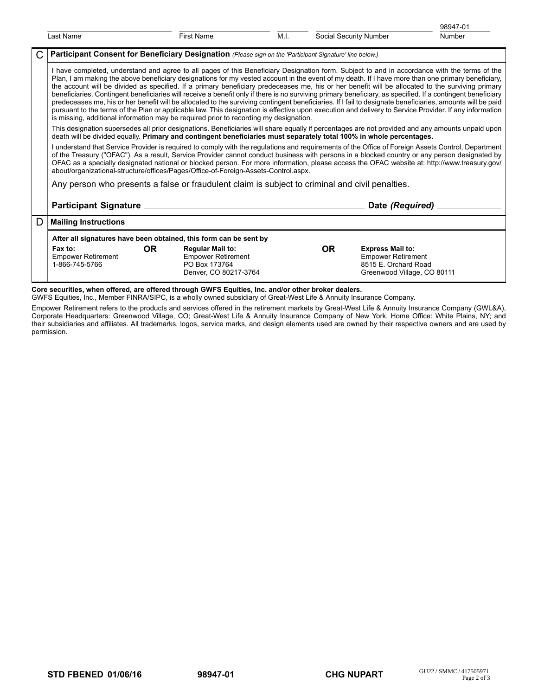|   |                                                                                                                                                                                                                                                                                                                                                                                                                                                                                                                                                                                                                                                                                                                                                                                                                                                                                                                                                                                                                                       |                                                                                                |      |                        |                                                                                                             | 98947-01 |  |  |  |
|---|---------------------------------------------------------------------------------------------------------------------------------------------------------------------------------------------------------------------------------------------------------------------------------------------------------------------------------------------------------------------------------------------------------------------------------------------------------------------------------------------------------------------------------------------------------------------------------------------------------------------------------------------------------------------------------------------------------------------------------------------------------------------------------------------------------------------------------------------------------------------------------------------------------------------------------------------------------------------------------------------------------------------------------------|------------------------------------------------------------------------------------------------|------|------------------------|-------------------------------------------------------------------------------------------------------------|----------|--|--|--|
|   | Last Name                                                                                                                                                                                                                                                                                                                                                                                                                                                                                                                                                                                                                                                                                                                                                                                                                                                                                                                                                                                                                             | <b>First Name</b>                                                                              | M.I. | Social Security Number |                                                                                                             | Number   |  |  |  |
| C | Participant Consent for Beneficiary Designation (Please sign on the 'Participant Signature' line below.)                                                                                                                                                                                                                                                                                                                                                                                                                                                                                                                                                                                                                                                                                                                                                                                                                                                                                                                              |                                                                                                |      |                        |                                                                                                             |          |  |  |  |
|   | I have completed, understand and agree to all pages of this Beneficiary Designation form. Subject to and in accordance with the terms of the<br>Plan, I am making the above beneficiary designations for my vested account in the event of my death. If I have more than one primary beneficiary,<br>the account will be divided as specified. If a primary beneficiary predeceases me, his or her benefit will be allocated to the surviving primary<br>beneficiaries. Contingent beneficiaries will receive a benefit only if there is no surviving primary beneficiary, as specified. If a contingent beneficiary<br>predeceases me, his or her benefit will be allocated to the surviving contingent beneficiaries. If I fail to designate beneficiaries, amounts will be paid<br>pursuant to the terms of the Plan or applicable law. This designation is effective upon execution and delivery to Service Provider. If any information<br>is missing, additional information may be required prior to recording my designation. |                                                                                                |      |                        |                                                                                                             |          |  |  |  |
|   | This designation supersedes all prior designations. Beneficiaries will share equally if percentages are not provided and any amounts unpaid upon<br>death will be divided equally. Primary and contingent beneficiaries must separately total 100% in whole percentages.                                                                                                                                                                                                                                                                                                                                                                                                                                                                                                                                                                                                                                                                                                                                                              |                                                                                                |      |                        |                                                                                                             |          |  |  |  |
|   | I understand that Service Provider is required to comply with the regulations and requirements of the Office of Foreign Assets Control, Department<br>of the Treasury ("OFAC"). As a result, Service Provider cannot conduct business with persons in a blocked country or any person designated by<br>OFAC as a specially designated national or blocked person. For more information, please access the OFAC website at: http://www.treasury.gov/<br>about/organizational-structure/offices/Pages/Office-of-Foreign-Assets-Control.aspx.                                                                                                                                                                                                                                                                                                                                                                                                                                                                                            |                                                                                                |      |                        |                                                                                                             |          |  |  |  |
|   | Any person who presents a false or fraudulent claim is subject to criminal and civil penalties.                                                                                                                                                                                                                                                                                                                                                                                                                                                                                                                                                                                                                                                                                                                                                                                                                                                                                                                                       |                                                                                                |      |                        |                                                                                                             |          |  |  |  |
|   | Participant Signature _                                                                                                                                                                                                                                                                                                                                                                                                                                                                                                                                                                                                                                                                                                                                                                                                                                                                                                                                                                                                               |                                                                                                |      |                        | Date (Required) _                                                                                           |          |  |  |  |
| D | <b>Mailing Instructions</b>                                                                                                                                                                                                                                                                                                                                                                                                                                                                                                                                                                                                                                                                                                                                                                                                                                                                                                                                                                                                           |                                                                                                |      |                        |                                                                                                             |          |  |  |  |
|   | After all signatures have been obtained, this form can be sent by                                                                                                                                                                                                                                                                                                                                                                                                                                                                                                                                                                                                                                                                                                                                                                                                                                                                                                                                                                     |                                                                                                |      |                        |                                                                                                             |          |  |  |  |
|   | Fax to:<br>OR.<br><b>Empower Retirement</b><br>1-866-745-5766                                                                                                                                                                                                                                                                                                                                                                                                                                                                                                                                                                                                                                                                                                                                                                                                                                                                                                                                                                         | <b>Regular Mail to:</b><br><b>Empower Retirement</b><br>PO Box 173764<br>Denver, CO 80217-3764 |      | <b>OR</b>              | <b>Express Mail to:</b><br><b>Empower Retirement</b><br>8515 E. Orchard Road<br>Greenwood Village, CO 80111 |          |  |  |  |

**Core securities, when offered, are offered through GWFS Equities, Inc. and/or other broker dealers.**

GWFS Equities, Inc., Member FINRA/SIPC, is a wholly owned subsidiary of Great-West Life & Annuity Insurance Company.

Empower Retirement refers to the products and services offered in the retirement markets by Great-West Life & Annuity Insurance Company (GWL&A), Corporate Headquarters: Greenwood Village, CO; Great-West Life & Annuity Insurance Company of New York, Home Office: White Plains, NY; and their subsidiaries and affiliates. All trademarks, logos, service marks, and design elements used are owned by their respective owners and are used by permission.